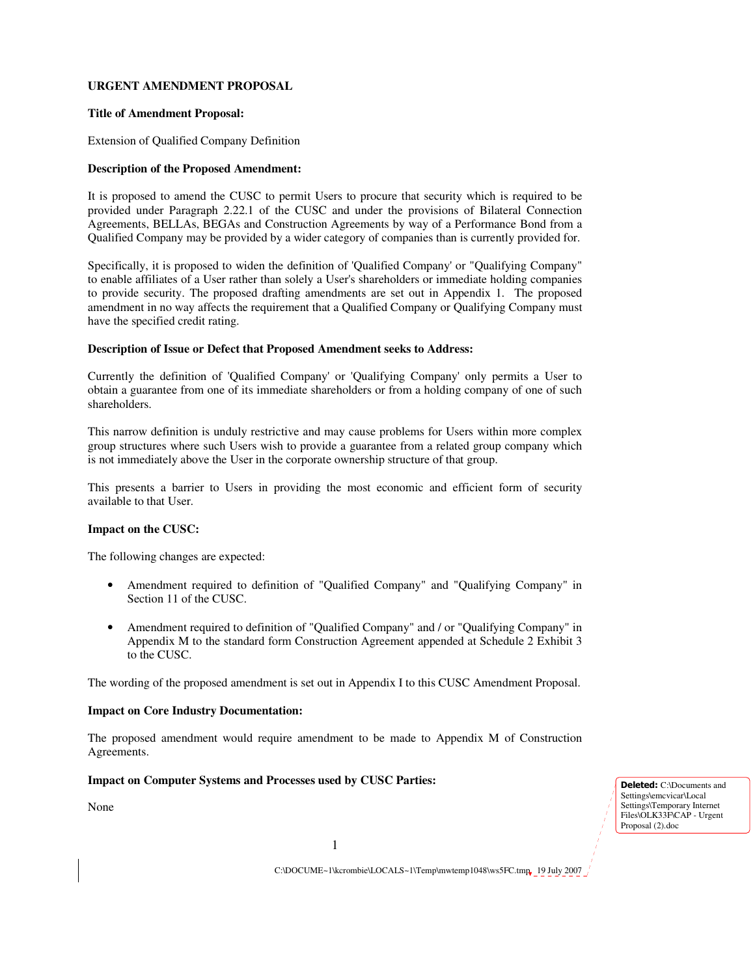# **URGENT AMENDMENT PROPOSAL**

#### **Title of Amendment Proposal:**

Extension of Qualified Company Definition

### **Description of the Proposed Amendment:**

It is proposed to amend the CUSC to permit Users to procure that security which is required to be provided under Paragraph 2.22.1 of the CUSC and under the provisions of Bilateral Connection Agreements, BELLAs, BEGAs and Construction Agreements by way of a Performance Bond from a Qualified Company may be provided by a wider category of companies than is currently provided for.

Specifically, it is proposed to widen the definition of 'Qualified Company' or "Qualifying Company" to enable affiliates of a User rather than solely a User's shareholders or immediate holding companies to provide security. The proposed drafting amendments are set out in Appendix 1. The proposed amendment in no way affects the requirement that a Qualified Company or Qualifying Company must have the specified credit rating.

#### **Description of Issue or Defect that Proposed Amendment seeks to Address:**

Currently the definition of 'Qualified Company' or 'Qualifying Company' only permits a User to obtain a guarantee from one of its immediate shareholders or from a holding company of one of such shareholders.

This narrow definition is unduly restrictive and may cause problems for Users within more complex group structures where such Users wish to provide a guarantee from a related group company which is not immediately above the User in the corporate ownership structure of that group.

This presents a barrier to Users in providing the most economic and efficient form of security available to that User.

## **Impact on the CUSC:**

The following changes are expected:

- Amendment required to definition of "Qualified Company" and "Qualifying Company" in Section 11 of the CUSC.
- Amendment required to definition of "Qualified Company" and / or "Qualifying Company" in Appendix M to the standard form Construction Agreement appended at Schedule 2 Exhibit 3 to the CUSC.

The wording of the proposed amendment is set out in Appendix I to this CUSC Amendment Proposal.

## **Impact on Core Industry Documentation:**

The proposed amendment would require amendment to be made to Appendix M of Construction Agreements.

## **Impact on Computer Systems and Processes used by CUSC Parties:**

None

Deleted: C:\Documents and Settings\emcvicar\Local Settings\Temporary Internet Files\OLK33F\CAP - Urgent Proposal (2).doc

C:\DOCUME~1\kcrombie\LOCALS~1\Temp\mwtemp1048\ws5FC.tmp 19 July 2007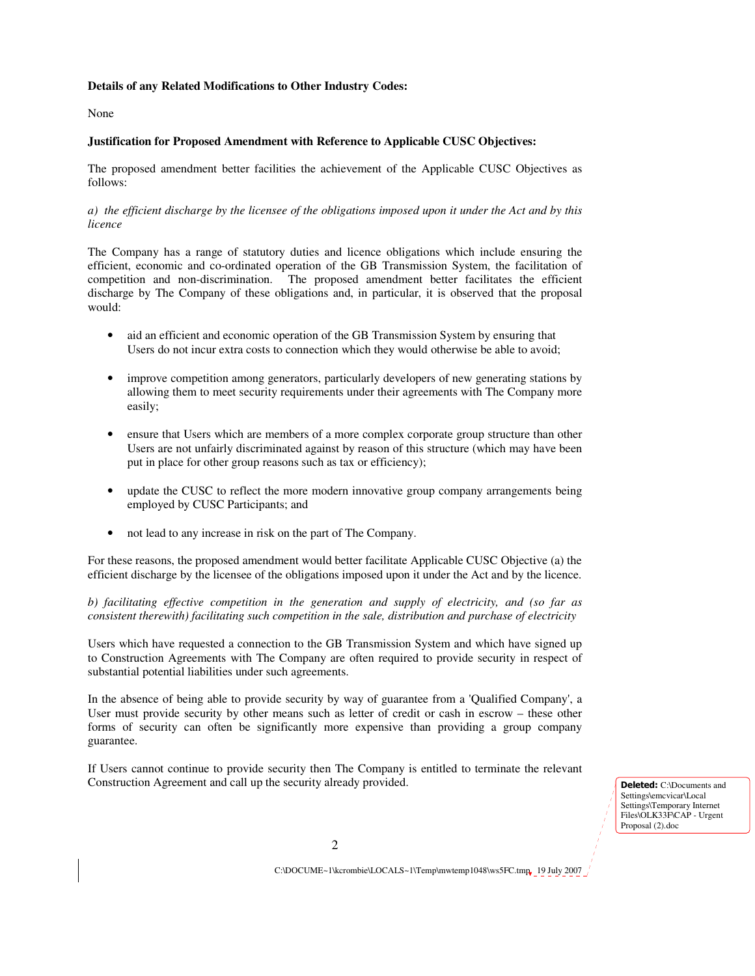## **Details of any Related Modifications to Other Industry Codes:**

#### None

# **Justification for Proposed Amendment with Reference to Applicable CUSC Objectives:**

The proposed amendment better facilities the achievement of the Applicable CUSC Objectives as follows:

*a) the efficient discharge by the licensee of the obligations imposed upon it under the Act and by this licence* 

The Company has a range of statutory duties and licence obligations which include ensuring the efficient, economic and co-ordinated operation of the GB Transmission System, the facilitation of competition and non-discrimination. The proposed amendment better facilitates the efficient discharge by The Company of these obligations and, in particular, it is observed that the proposal would:

- aid an efficient and economic operation of the GB Transmission System by ensuring that Users do not incur extra costs to connection which they would otherwise be able to avoid;
- improve competition among generators, particularly developers of new generating stations by allowing them to meet security requirements under their agreements with The Company more easily;
- ensure that Users which are members of a more complex corporate group structure than other Users are not unfairly discriminated against by reason of this structure (which may have been put in place for other group reasons such as tax or efficiency);
- update the CUSC to reflect the more modern innovative group company arrangements being employed by CUSC Participants; and
- not lead to any increase in risk on the part of The Company.

For these reasons, the proposed amendment would better facilitate Applicable CUSC Objective (a) the efficient discharge by the licensee of the obligations imposed upon it under the Act and by the licence.

*b) facilitating effective competition in the generation and supply of electricity, and (so far as consistent therewith) facilitating such competition in the sale, distribution and purchase of electricity* 

Users which have requested a connection to the GB Transmission System and which have signed up to Construction Agreements with The Company are often required to provide security in respect of substantial potential liabilities under such agreements.

In the absence of being able to provide security by way of guarantee from a 'Qualified Company', a User must provide security by other means such as letter of credit or cash in escrow – these other forms of security can often be significantly more expensive than providing a group company guarantee.

If Users cannot continue to provide security then The Company is entitled to terminate the relevant Construction Agreement and call up the security already provided. Deleted: C:\Documents and

Settings\emcvicar\Local Settings\Temporary Internet Files\OLK33F\CAP - Urgent Proposal (2).doc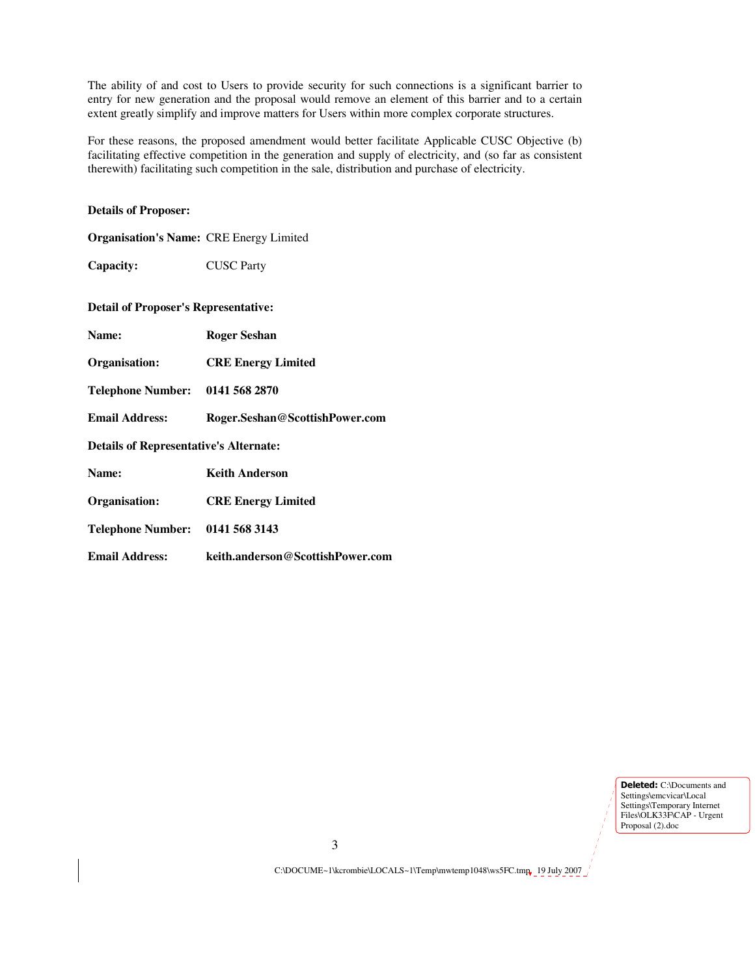The ability of and cost to Users to provide security for such connections is a significant barrier to entry for new generation and the proposal would remove an element of this barrier and to a certain extent greatly simplify and improve matters for Users within more complex corporate structures.

For these reasons, the proposed amendment would better facilitate Applicable CUSC Objective (b) facilitating effective competition in the generation and supply of electricity, and (so far as consistent therewith) facilitating such competition in the sale, distribution and purchase of electricity.

# **Details of Proposer:**

| <b>Organisation's Name: CRE Energy Limited</b> |                                  |
|------------------------------------------------|----------------------------------|
| Capacity:                                      | <b>CUSC Party</b>                |
| <b>Detail of Proposer's Representative:</b>    |                                  |
| Name:                                          | <b>Roger Seshan</b>              |
| Organisation:                                  | <b>CRE Energy Limited</b>        |
| Telephone Number: 0141 568 2870                |                                  |
| <b>Email Address:</b>                          | Roger.Seshan@ScottishPower.com   |
| <b>Details of Representative's Alternate:</b>  |                                  |
| Name:                                          | <b>Keith Anderson</b>            |
| Organisation:                                  | <b>CRE Energy Limited</b>        |
| Telephone Number: 0141 568 3143                |                                  |
| <b>Email Address:</b>                          | keith.anderson@ScottishPower.com |
|                                                |                                  |

**Deleted:** C:\Documents and Settings\emcvicar\Local Settings\Temporary Internet Files\OLK33F\CAP - Urgent Proposal (2).doc

C:\DOCUME~1\kcrombie\LOCALS~1\Temp\mwtemp1048\ws5FC.tmp 19 July 2007